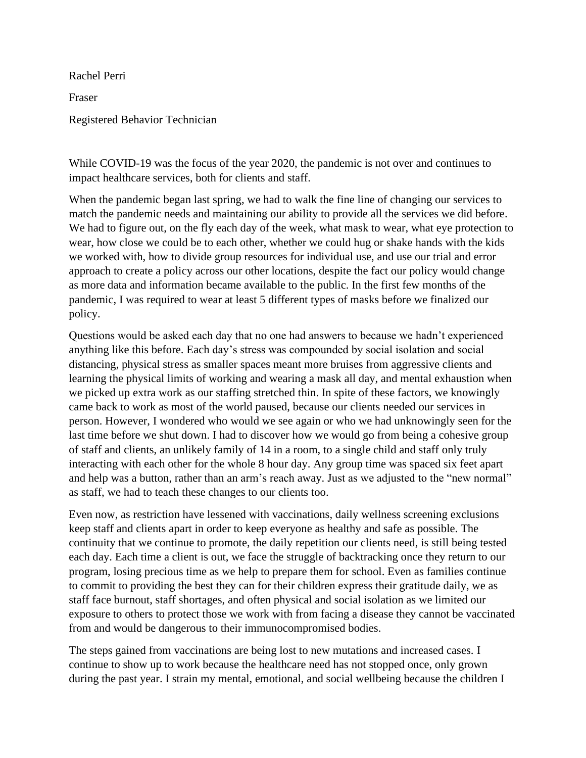Rachel Perri

Fraser

Registered Behavior Technician

While COVID-19 was the focus of the year 2020, the pandemic is not over and continues to impact healthcare services, both for clients and staff.

When the pandemic began last spring, we had to walk the fine line of changing our services to match the pandemic needs and maintaining our ability to provide all the services we did before. We had to figure out, on the fly each day of the week, what mask to wear, what eye protection to wear, how close we could be to each other, whether we could hug or shake hands with the kids we worked with, how to divide group resources for individual use, and use our trial and error approach to create a policy across our other locations, despite the fact our policy would change as more data and information became available to the public. In the first few months of the pandemic, I was required to wear at least 5 different types of masks before we finalized our policy.

Questions would be asked each day that no one had answers to because we hadn't experienced anything like this before. Each day's stress was compounded by social isolation and social distancing, physical stress as smaller spaces meant more bruises from aggressive clients and learning the physical limits of working and wearing a mask all day, and mental exhaustion when we picked up extra work as our staffing stretched thin. In spite of these factors, we knowingly came back to work as most of the world paused, because our clients needed our services in person. However, I wondered who would we see again or who we had unknowingly seen for the last time before we shut down. I had to discover how we would go from being a cohesive group of staff and clients, an unlikely family of 14 in a room, to a single child and staff only truly interacting with each other for the whole 8 hour day. Any group time was spaced six feet apart and help was a button, rather than an arm's reach away. Just as we adjusted to the "new normal" as staff, we had to teach these changes to our clients too.

Even now, as restriction have lessened with vaccinations, daily wellness screening exclusions keep staff and clients apart in order to keep everyone as healthy and safe as possible. The continuity that we continue to promote, the daily repetition our clients need, is still being tested each day. Each time a client is out, we face the struggle of backtracking once they return to our program, losing precious time as we help to prepare them for school. Even as families continue to commit to providing the best they can for their children express their gratitude daily, we as staff face burnout, staff shortages, and often physical and social isolation as we limited our exposure to others to protect those we work with from facing a disease they cannot be vaccinated from and would be dangerous to their immunocompromised bodies.

The steps gained from vaccinations are being lost to new mutations and increased cases. I continue to show up to work because the healthcare need has not stopped once, only grown during the past year. I strain my mental, emotional, and social wellbeing because the children I